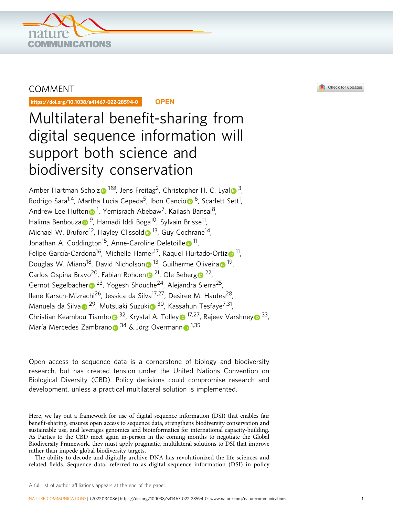

# COMMENT

https://doi.org/10.1038/s41467-022-28594-0 **OPEN**

# Multilateral benefit-sharing from digital sequence information will support both science and biodiversity conservation

Amber Hartman Schol[z](http://orcid.org/0000-0002-3461-0881)  $\bullet$  $\bullet$  $\bullet$ <sup>1 $\boxtimes$ </sup>, Jens Freitag<sup>2</sup>, Christopher H. C. Lyal  $\bullet$ <sup>3</sup>, R[o](http://orcid.org/0000-0003-4841-0079)drigo Sara<sup>1,4</sup>, Martha Lucia Cepeda<sup>5</sup>, Ibon Cancio [6](http://orcid.org/0000-0003-4841-0079), Scarlett Sett<sup>1</sup>, A[n](http://orcid.org/0000-0002-2003-9573)drew Lee Hufton n<sup>1</sup>, Yemisrach Abebaw<sup>7</sup>, Kailash Bansal<sup>8</sup>, H[a](http://orcid.org/0000-0002-1147-1321)lima Benbouza  $\bullet$ <sup>[9](http://orcid.org/0000-0002-1147-1321)</sup>, Hamadi Iddi Boga<sup>10</sup>, Sylvain Brisse<sup>11</sup>, Michael W. Brufor[d](http://orcid.org/0000-0001-8072-724X)<sup>12</sup>, Hayley Clissold  $\bullet$ <sup>13</sup>, Guy Cochrane<sup>14</sup>, Jonathan A. Coddington<sup>15</sup>, Ann[e](http://orcid.org/0000-0002-8637-4040)-Caroline Deletoille <sup>11</sup>, Felipe García-Cardona<sup>16</sup>, Michelle Hamer<sup>17</sup>, Raquel Hurtado-Orti[z](http://orcid.org/0000-0002-7650-2993) <sup>11</sup>, Douglas W. Mia[n](http://orcid.org/0000-0001-5404-8251)o<sup>18</sup>, D[a](http://orcid.org/0000-0003-0054-3438)vid Nicholson  $\bullet$ <sup>[1](http://orcid.org/0000-0003-0054-3438)3</sup>, Guilherme Oliveira  $\bullet$ <sup>19</sup>, Carlos Ospi[n](http://orcid.org/0000-0002-9650-1269)a Bravo<sup>[2](http://orcid.org/0000-0001-9675-4090)0</sup>, Fabian Rohden <sup>21</sup>, Ole Seber[g](http://orcid.org/0000-0001-9675-4090) <sup>22</sup>, Ge[r](http://orcid.org/0000-0002-8024-7008)not Segelbacher  $\bullet$  <sup>23</sup>, Yogesh Shouche<sup>24</sup>, Alejandra Sierra<sup>25</sup>, Ilene Karsch-Mizrachi<sup>26</sup>, Jessica da Silva<sup>17,27</sup>, Desiree M. Hautea<sup>28</sup> M[a](http://orcid.org/0000-0001-6073-8929)nuela da S[i](http://orcid.org/0000-0003-1156-789X)lva  $\sqrt{29}$  $\sqrt{29}$  $\sqrt{29}$ , Mutsuaki Suzuki $\sqrt{30}$  $\sqrt{30}$  $\sqrt{30}$ , Kassahun Tesfaye<sup>7,31</sup>, Christian Keamb[o](http://orcid.org/0000-0002-7401-753X)u Tiambo  $3^2$  $3^2$ , Kr[y](http://orcid.org/0000-0002-4562-9131)stal A. Tolley  $\bullet$  [1](http://orcid.org/0000-0002-7778-1963)7,27, Rajeev Varshney  $\bullet$  33, María Mercedes Zambran[o](http://orcid.org/0000-0002-0796-4473) <sup>34</sup> & Jörg Overma[n](http://orcid.org/0000-0003-3909-7201)n <sup>1,35</sup>

Open access to sequence data is a cornerstone of biology and biodiversity research, but has created tension under the United Nations Convention on Biological Diversity (CBD). Policy decisions could compromise research and development, unless a practical multilateral solution is implemented.

Here, we lay out a framework for use of digital sequence information (DSI) that enables fair benefit-sharing, ensures open access to sequence data, strengthens biodiversity conservation and sustainable use, and leverages genomics and bioinformatics for international capacity-building. As Parties to the CBD meet again in-person in the coming months to negotiate the Global Biodiversity Framework, they must apply pragmatic, multilateral solutions to DSI that improve rather than impede global biodiversity targets.

The ability to decode and digitally archive DNA has revolutionized the life sciences and related fields. Sequence data, referred to as digital sequence information (DSI) in policy

#### A full list of author affiliations appears at the end of the paper.

NATURE COMMUNICATIONS | (2022) 13:1086 | https://doi.org/10.1038/s41467-022-28594-0 | www.nature.com/n[aturecommunications](www.nature.com/naturecommunications) [1](www.nature.com/naturecommunications)

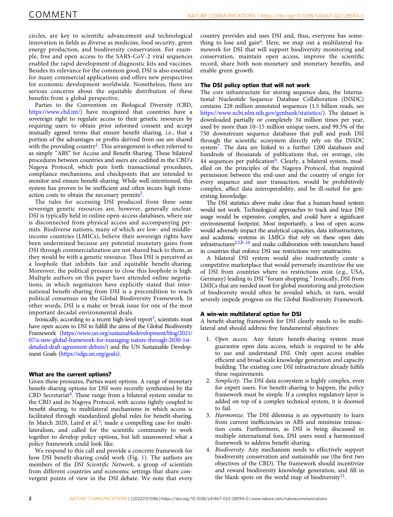circles, are key to scientific advancement and technological innovation in fields as diverse as medicine, food security, green energy production, and biodiversity conservation. For example, free and open access to the SARS-CoV-2 viral sequences enabled the rapid development of diagnostic kits and vaccines. Besides its relevance for the common good, DSI is also essential for many commercial applications and offers new perspectives for economic development worldwide. Nonetheless, there are serious concerns about the equitable distribution of these benefits from a global perspective.

Parties to the Convention on Biological Diversity (CBD, <https://www.cbd.int/>) have recognized that countries have a sovereign right to regulate access to their genetic resources by requiring users to obtain prior informed consent and accept mutually agreed terms that ensure benefit sharing, i.e., that a portion of the advantages or profits derived from use are shared with the providing country<sup>1</sup>. This arrangement is often referred to as simply "ABS" for Access and Benefit-Sharing. These bilateral procedures between countries and users are codified in the CBD's Nagoya Protocol, which puts forth transactional procedures, compliance mechanisms, and checkpoints that are intended to monitor and ensure benefit-sharing. While well-intentioned, this system has proven to be inefficient and often incurs high transaction costs to obtain the necessary permits<sup>2</sup>.

The rules for accessing DSI produced from these same sovereign genetic resources are, however, generally unclear. DSI is typically held in online open-access databases, where use is disconnected from physical access and accompanying permits. Biodiverse nations, many of which are low- and middleincome countries (LMICs), believe their sovereign rights have been undermined because any potential monetary gains from DSI through commercialization are not shared back to them, as they would be with a genetic resource. Thus DSI is perceived as a loophole that inhibits fair and equitable benefit-sharing. Moreover, the political pressure to close this loophole is high. Multiple authors on this paper have attended online negotiations, in which negotiators have explicitly stated that international benefit-sharing from DSI is a precondition to reach political consensus on the Global Biodiversity Framework. In other words, DSI is a make or break issue for one of the most important decadal environmental deals.

Ironically, according to a recent high-level report<sup>[3](#page-3-0)</sup>, scientists must have open access to DSI to fulfill the aims of the Global Biodiversity Framework ([https://www.un.org/sustainabledevelopment/blog/2021/](https://www.un.org/sustainabledevelopment/blog/2021/07/a-new-global-framework-for-managing-nature-through-2030-1st-detailed-draft-agreement-debuts/) [07/a-new-global-framework-for-managing-nature-through-2030-1st](https://www.un.org/sustainabledevelopment/blog/2021/07/a-new-global-framework-for-managing-nature-through-2030-1st-detailed-draft-agreement-debuts/)[detailed-draft-agreement-debuts/](https://www.un.org/sustainabledevelopment/blog/2021/07/a-new-global-framework-for-managing-nature-through-2030-1st-detailed-draft-agreement-debuts/)) and the UN Sustainable Development Goals [\(https://sdgs.un.org/goals](https://sdgs.un.org/goals)).

# What are the current options?

Given these pressures, Parties want options. A range of monetary benefit-sharing options for DSI were recently synthesized by the CBD Secretariat<sup>4</sup>. These range from a bilateral system similar to the CBD and its Nagoya Protocol, with access tightly coupled to benefit sharing, to multilateral mechanisms in which access is facilitated through standardized global rules for benefit-sharing. In March 2020, Laird et al.<sup>5</sup>, made a compelling case for multilateralism, and called for the scientific community to work together to develop policy options, but left unanswered what a policy framework could look like.

We respond to this call and provide a concrete framework for how DSI benefit-sharing could work (Fig. [1\)](#page-2-0). The authors are members of the DSI Scientific Network, a group of scientists from different countries and economic settings that share convergent points of view in the DSI debate. We note that every

country provides and uses DSI and, thus, everyone has some-thing to lose and gain<sup>[6](#page-3-0)</sup>. Here, we map out a multilateral framework for DSI that will support biodiversity monitoring and conservation, maintain open access, improve the scientific record, share both non-monetary and monetary benefits, and enable green growth.

# The DSI policy option that will not work

The core infrastructure for storing sequence data, the International Nucleotide Sequence Database Collaboration (INSDC) contains 228 million annotated sequences (1.5 billion reads, see [https://www.ncbi.nlm.nih.gov/genbank/statistics/\)](https://www.ncbi.nlm.nih.gov/genbank/statistics/). The dataset is downloaded partially or completely 34 million times per year, used by more than 10–15 million unique users, and 99.5% of the 750 downstream sequence databases that pull and push DSI through the scientific ecosystem directly rely on the INSDC system[7.](#page-3-0) The data are linked to a further 1200 databases and hundreds of thousands of publications that, on average, cite 44 sequences per publication<sup>6</sup>. Clearly, a bilateral system, modelled on the principles of the Nagoya Protocol, that required permission between the end-user and the country of origin for every sequence and user transaction, would be prohibitively complex, affect data interoperability, and be ill-suited for generating knowledge.

The DSI statistics above make clear that a human-based system would not work. Technological approaches to track and trace DSI usage would be expensive, complex, and could have a significant environmental footprint. Most importantly, a loss of open access would adversely impact the analytical capacities, data infrastructures, and academic systems in LMICs that rely on these open data  $infrared, 2,5,8-10$  $infrared, 2,5,8-10$  and make collaboration with researchers based in countries that enforce DSI use restrictions very unattractive.

A bilateral DSI system would also inadvertently create a competitive marketplace that would perversely incentivize the use of DSI from countries where no restrictions exist (e.g., USA, Germany) leading to DSI "forum shopping." Ironically, DSI from LMICs that are needed most for global monitoring and protection of biodiversity would often be avoided which, in turn, would severely impede progress on the Global Biodiversity Framework.

# A win-win multilateral option for DSI

A benefit-sharing framework for DSI clearly needs to be multilateral and should address five fundamental objectives:

- 1. Open access. Any future benefit-sharing system must guarantee open data access, which is required to be able to use and understand DSI. Only open access enables efficient and broad scale knowledge generation and capacity building. The existing core DSI infrastructure already fulfils these requirements.
- 2. Simplicity. The DSI data ecosystem is highly complex, even for expert users. For benefit-sharing to happen, the policy framework must be simple. If a complex regulatory layer is added on top of a complex technical system, it is doomed to fail.
- 3. Harmonize. The DSI dilemma is an opportunity to learn from current inefficiencies in ABS and minimize transaction costs. Furthermore, as DSI is being discussed in multiple international fora, DSI users need a harmonized framework to address benefit-sharing.
- 4. Biodiversity. Any mechanism needs to effectively support biodiversity conservation and sustainable use (the first two objectives of the CBD). The framework should incentivize and reward biodiversity knowledge generation, and fill in the blank spots on the world map of biodiversity $11$ .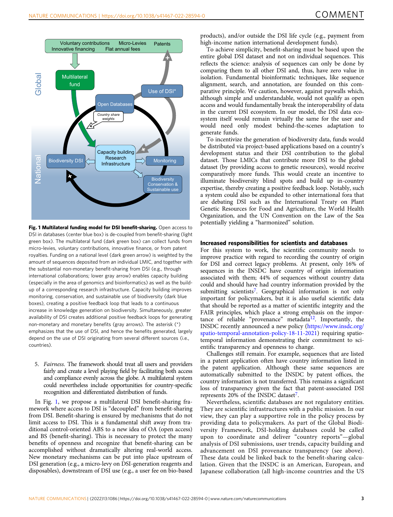<span id="page-2-0"></span>

Fig. 1 Multilateral funding model for DSI benefit-sharing. Open access to DSI in databases (center blue box) is de-coupled from benefit-sharing (light green box). The multilateral fund (dark green box) can collect funds from micro-levies, voluntary contributions, innovative finance, or from patent royalties. Funding on a national level (dark green arrow) is weighted by the amount of sequences deposited from an individual LMIC, and together with the substantial non-monetary benefit-sharing from DSI (e.g., through international collaborations; lower gray arrow) enables capacity building (especially in the area of genomics and bioinformatics) as well as the buildup of a corresponding research infrastructure. Capacity building improves monitoring, conservation, and sustainable use of biodiversity (dark blue boxes), creating a positive feedback loop that leads to a continuous increase in knowledge generation on biodiversity. Simultaneously, greater availability of DSI creates additional positive feedback loops for generating non-monetary and monetary benefits (gray arrows). The asterisk (\*) emphasizes that the use of DSI, and hence the benefits generated, largely depend on the use of DSI originating from several different sources (i.e., countries).

5. Fairness. The framework should treat all users and providers fairly and create a level playing field by facilitating both access and compliance evenly across the globe. A multilateral system could nevertheless include opportunities for country-specific recognition and differentiated distribution of funds.

In Fig. 1, we propose a multilateral DSI benefit-sharing framework where access to DSI is "decoupled" from benefit-sharing from DSI. Benefit-sharing is ensured by mechanisms that do not limit access to DSI. This is a fundamental shift away from traditional control-oriented ABS to a new idea of OA (open access) and BS (benefit-sharing). This is necessary to protect the many benefits of openness and recognize that benefit-sharing can be accomplished without dramatically altering real-world access. New monetary mechanisms can be put into place upstream of DSI generation (e.g., a micro-levy on DSI-generation reagents and disposables), downstream of DSI use (e.g., a user fee on bio-based products), and/or outside the DSI life cycle (e.g., payment from high-income nation international development funds).

To achieve simplicity, benefit-sharing must be based upon the entire global DSI dataset and not on individual sequences. This reflects the science: analysis of sequences can only be done by comparing them to all other DSI and, thus, have zero value in isolation. Fundamental bioinformatic techniques, like sequence alignment, search, and annotation, are founded on this comparative principle. We caution, however, against paywalls which, although simple and understandable, would not qualify as open access and would fundamentally break the interoperability of data in the current DSI ecosystem. In our model, the DSI data ecosystem itself would remain virtually the same for the user and would need only modest behind-the-scenes adaptation to generate funds.

To incentivize the generation of biodiversity data, funds would be distributed via project-based applications based on a country's development status and their DSI contribution to the global dataset. Those LMICs that contribute more DSI to the global dataset (by providing access to genetic resources), would receive comparatively more funds. This would create an incentive to illuminate biodiversity blind spots and build up in-country expertise, thereby creating a positive feedback loop. Notably, such a system could also be expanded to other international fora that are debating DSI such as the International Treaty on Plant Genetic Resources for Food and Agriculture, the World Health Organization, and the UN Convention on the Law of the Sea potentially yielding a "harmonized" solution.

# Increased responsibilities for scientists and databases

For this system to work, the scientific community needs to improve practice with regard to recording the country of origin for DSI and correct legacy problems. At present, only 16% of sequences in the INSDC have country of origin information associated with them; 44% of sequences without country data could and should have had country information provided by the submitting scientists<sup>[7](#page-3-0)</sup>. Geographical information is not only important for policymakers, but it is also useful scientific data that should be reported as a matter of scientific integrity and the FAIR principles, which place a strong emphasis on the impor-tance of reliable "provenance" metadata<sup>[12](#page-3-0)</sup>. Importantly, the INSDC recently announced a new policy ([https://www.insdc.org/](https://www.insdc.org/spatio-temporal-annotation-policy-18-11-2021) [spatio-temporal-annotation-policy-18-11-2021\)](https://www.insdc.org/spatio-temporal-annotation-policy-18-11-2021) requiring spatiotemporal information demonstrating their commitment to scientific transparency and openness to change.

Challenges still remain. For example, sequences that are listed in a patent application often have country information listed in the patent application. Although these same sequences are automatically submitted to the INSDC by patent offices, the country information is not transferred. This remains a significant loss of transparency given the fact that patent-associated DSI represents 20% of the INSDC dataset<sup>[7](#page-3-0)</sup>.

Nevertheless, scientific databases are not regulatory entities. They are scientific infrastructures with a public mission. In our view, they can play a supportive role in the policy process by providing data to policymakers. As part of the Global Biodiversity Framework, DSI-holding databases could be called upon to coordinate and deliver "country reports"—global analysis of DSI submissions, user trends, capacity building and advancement on DSI provenance transparency (see above). These data could be linked back to the benefit-sharing calculation. Given that the INSDC is an American, European, and Japanese collaboration (all high-income countries and the US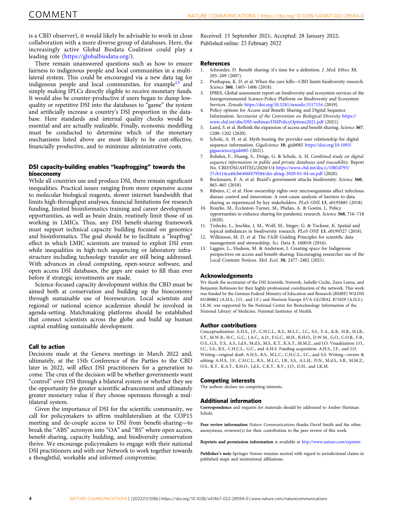<span id="page-3-0"></span>is a CBD observer), it would likely be advisable to work in close collaboration with a more diverse group of databases. Here, the increasingly active Global Biodata Coalition could play a leading role [\(https://globalbiodata.org/\)](https://globalbiodata.org/).

There remain unanswered questions such as how to ensure fairness to indigenous people and local communities in a multilateral system. This could be encouraged via a new data tag for indigenous people and local communities, for example<sup>13</sup> and simply making IPLCs directly eligible to receive monetary funds. It would also be counter-productive if users began to dump lowquality or repetitive DSI into the databases to "game" the system and artificially increase a country's DSI proportion in the database. Here standards and internal quality checks would be essential and are actually realizable. Finally, economic modelling must be conducted to determine which of the monetary mechanisms listed above are most likely to be cost-effective, financially productive, and to minimize administrative costs.

# DSI capacity-building enables "leapfrogging" towards the bioeconomy

While all countries use and produce DSI, there remain significant inequalities. Practical issues ranging from more expensive access to molecular biological reagents, slower internet bandwidth that limits high-throughput analyses, financial limitations for research funding, limited bioinformatics training and career development opportunities, as well as brain drain, routinely limit those of us working in LMICs. Thus, any DSI benefit-sharing framework must support technical capacity building focused on genomics and bioinformatics. The goal should be to facilitate a "leapfrog" effect in which LMIC scientists are trained to exploit DSI even while inequalities in high-tech sequencing or laboratory infrastructure including technology transfer are still being addressed. With advances in cloud computing, open-source software, and open access DSI databases, the gaps are easier to fill than ever before if strategic investments are made.

Science-focused capacity development within the CBD must be aimed both at conservation and building up the bioeconomy through sustainable use of bioresources. Local scientists and regional or national science academies should be involved in agenda-setting. Matchmaking platforms should be established that connect scientists across the globe and build up human capital enabling sustainable development.

# Call to action

Decisions made at the Geneva meetings in March 2022 and, ultimately, at the 15th Conference of the Parties to the CBD later in 2022, will affect DSI practitioners for a generation to come. The crux of the decision will be whether governments want "control" over DSI through a bilateral system or whether they see the opportunity for greater scientific advancement and ultimately greater monetary value if they choose openness through a multilateral system.

Given the importance of DSI for the scientific community, we call for policymakers to affirm multilateralism at the COP15 meeting and de-couple access to DSI from benefit-sharing—to break the "ABS" acronym into "OA" and "BS" where open access, benefit-sharing, capacity building, and biodiversity conservation thrive. We encourage policymakers to engage with their national DSI practitioners and with our Network to work together towards a thoughtful, workable and informed compromise.

Received: 15 September 2021; Accepted: 28 January 2022;

# References

- Schroeder, D. Benefit sharing: it's time for a definition. J. Med. Ethics 33, 205–209 (2007).
- 2. Prathapan, K. D. et al. When the cure kills—CBD limits biodiversity research. Science 360, 1405-1406 (2018).
- IPBES. Global assessment report on biodiversity and ecosystem services of the Intergovernmental Science-Policy Platform on Biodiversity and Ecosystem Services. Zenodo <https://doi.org/10.5281/zenodo.5517154> (2019).
- 4. Policy options for Access and Benefit Sharing and Digital Sequence Information. Secretariat of the Convention on Biological Diversity [https://](https://www.cbd.int/abs/DSI-webinar/DSIPolicyOptions2021.pdf) [www.cbd.int/abs/DSI-webinar/DSIPolicyOptions2021.pdf](https://www.cbd.int/abs/DSI-webinar/DSIPolicyOptions2021.pdf) (2021).
- Laird, S. et al. Rethink the expansion of access and benefit sharing. Science 367, 1200–1202 (2020).
- Scholz, A. H. et al. Myth-busting the provider-user relationship for digital sequence information. GigaScience 10, giab085 [https://doi.org/10.1093/](https://doi.org/10.1093/gigascience/giab085) [gigascience/giab085](https://doi.org/10.1093/gigascience/giab085) (2021).
- 7. Rohden, F., Huang, S., Dröge, G. & Scholz, A. H. Combined study on digital sequence information in public and private databases and traceability. Report No. CBD/DSI/AHTEG/2020/1/4 [https://www.cbd.int/doc/c/1f8f/d793/](https://www.cbd.int/doc/c/1f8f/d793/57cb114ca40cb6468f479584/dsi-ahteg-2020-01-04-en.pdf) [57cb114ca40cb6468f479584/dsi-ahteg-2020-01-04-en.pdf](https://www.cbd.int/doc/c/1f8f/d793/57cb114ca40cb6468f479584/dsi-ahteg-2020-01-04-en.pdf) (2020).
- 8. Bockmann, F. A. et al. Brazil's government attacks biodiversity. Science 360, 865–865 (2018).
- 9. Ribeiro, C. et al. How ownership rights over microorganisms affect infectious disease control and innovation: A root-cause analysis of barriers to data sharing as experienced by key stakeholders. PLoS ONE 13, e0195885 (2018).
- Rourke, M., Eccleston-Turner, M., Phelan, A. & Gostin, L. Policy opportunities to enhance sharing for pandemic research. Science 368, 716–718 (2020).
- 11. Tydecks, L., Jeschke, J. M., Wolf, M., Singer, G. & Tockner, K. Spatial and topical imbalances in biodiversity research. PLoS ONE 13, e0199327 (2018).
- Wilkinson, M. D. et al. The FAIR Guiding Principles for scientific data management and stewardship. Sci. Data 3, 160018 (2016).
- 13. Liggins, L., Hudson, M. & Anderson, J. Creating space for Indigenous perspectives on access and benefit‐sharing: Encouraging researcher use of the Local Contexts Notices. Mol. Ecol. 30, 2477–2482 (2021).

# Acknowledgements

We thank the secretariat of the DSI Scientific Network, Isabelle Coche, Zaira Lanna, and Benjamin Robinson for their highly professional coordination of the network. This work was funded by the German Federal Ministry of Education and Research (BMBF) WiLDSI 031B0862 (A.H.S., J.O., and J.F.) and Horizon Europe EVA-GLOBAL 871029 (A.H.S.). I.K.M. was supported by the National Center for Biotechnology Information of the National Library of Medicine, National Institutes of Health.

#### Author contributions

Conceptualization: A.H.S., J.F., C.H.C.L., R.S., M.L.C., I.C., S.S., Y.A., K.B., H.B., H.I.B., S.Y., M.W.B., H.C., G.C., J.A.C., A.D., F.G.C., M.H., R.H.O., D.W.M., G.O., C.O.B., F.B., O.S., G.S., Y.S., A.S., J.d.S., M.d.S., M.S., K.T., K.A.T., M.M.Z., and J.O. Visualization: J.O., I.C., S.S., R.S., C.H.C.L., G.C., and A.H.S. Funding acquisition: A.H.S., J.F., and J.O. Writing—original draft: A.H.S., R.S., M.L.C., C.H.C.L., I.C., and S.S. Writing—review & editing: A.H.S., J.F., C.H.C.L., R.S., M.L.C., I.B., S.S., A.L.H., D.N., M.d.S., S.B., M.M.Z., O.S., K.T., K.A.T., R.H.O., J.d.S., C.K.T., R.V., J.O., D.H., and I.K.M.

#### Competing interests

The authors declare no competing interests.

## Additional information

Correspondence and requests for materials should be addressed to Amber Hartman Scholz.

Peer review information Nature Communications thanks David Smith and the other, anonymous, reviewer(s) for their contribution to the peer review of this work.

Reprints and permission information is available at <http://www.nature.com/reprints>

Publisher's note Springer Nature remains neutral with regard to jurisdictional claims in published maps and institutional affiliations.